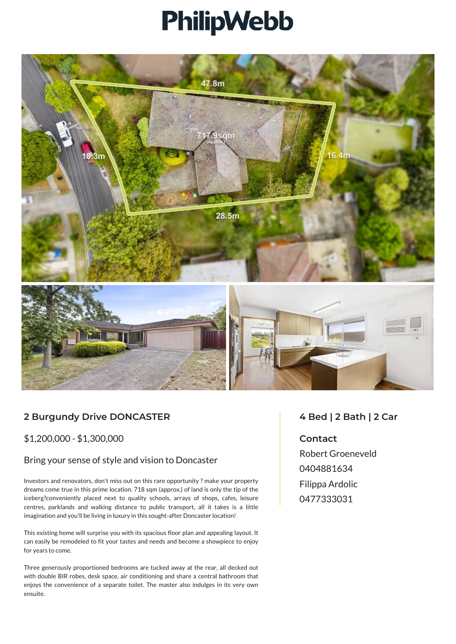# PhilipWebb



## **2 Burgundy Drive DONCASTER**

\$1,200,000 - \$1,300,000

#### Bring your sense of style and vision to Doncaster

Investors and renovators, don't miss out on this rare opportunity ? make your property dreams come true in this prime location. 718 sqm (approx.) of land is only the tip of the iceberg?conveniently placed next to quality schools, arrays of shops, cafes, leisure centres, parklands and walking distance to public transport, all it takes is a little imagination and you'll be living in luxury in this sought-after Doncaster location!

This existing home will surprise you with its spacious floor plan and appealing layout. It can easily be remodeled to fit your tastes and needs and become a showpiece to enjoy for years to come.

Three generously proportioned bedrooms are tucked away at the rear, all decked out with double BIR robes, desk space, air conditioning and share a central bathroom that enjoys the convenience of a separate toilet. The master also indulges in its very own ensuite.

### **4 Bed | 2 Bath | 2 Car**

#### **Contact**

Robert Groeneveld 0404881634 Filippa Ardolic 0477333031